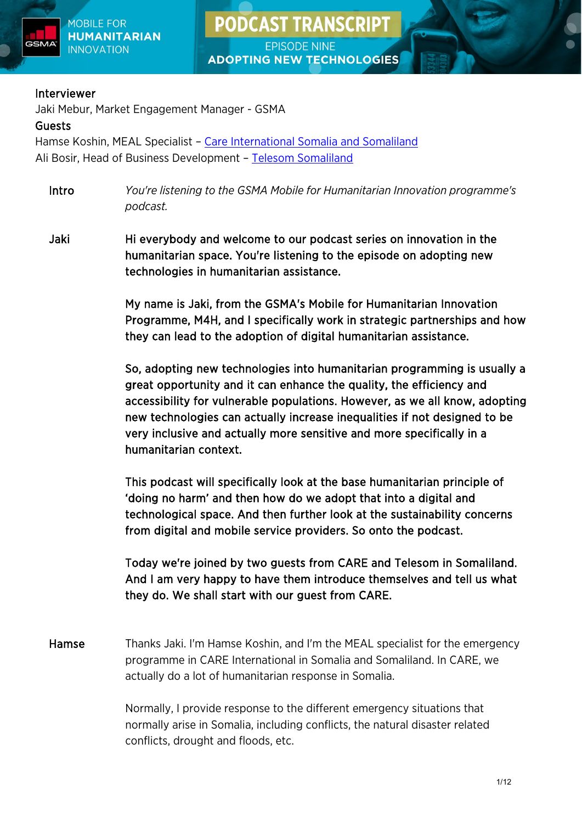

**EPISODE NINE ADOPTING NEW TECHNOLOGIES** 

**PODCAST TRANSCRIPT** 

#### Interviewer

Jaki Mebur, Market Engagement Manager - GSMA

### Guests

Hamse Koshin, MEAL Specialist – [Care International Somalia and Somaliland](https://www.careinternational.org.uk/countries/somalia) Ali Bosir, Head of Business Development – [Telesom Somaliland](https://telesom.net/pages/home) 

Intro *You're listening to the GSMA Mobile for Humanitarian Innovation programme's podcast.*

Jaki Hi everybody and welcome to our podcast series on innovation in the humanitarian space. You're listening to the episode on adopting new technologies in humanitarian assistance.

> My name is Jaki, from the GSMA's Mobile for Humanitarian Innovation Programme, M4H, and I specifically work in strategic partnerships and how they can lead to the adoption of digital humanitarian assistance.

> So, adopting new technologies into humanitarian programming is usually a great opportunity and it can enhance the quality, the efficiency and accessibility for vulnerable populations. However, as we all know, adopting new technologies can actually increase inequalities if not designed to be very inclusive and actually more sensitive and more specifically in a humanitarian context.

This podcast will specifically look at the base humanitarian principle of 'doing no harm' and then how do we adopt that into a digital and technological space. And then further look at the sustainability concerns from digital and mobile service providers. So onto the podcast.

Today we're joined by two guests from CARE and Telesom in Somaliland. And I am very happy to have them introduce themselves and tell us what they do. We shall start with our guest from CARE.

Hamse Thanks Jaki. I'm Hamse Koshin, and I'm the MEAL specialist for the emergency programme in CARE International in Somalia and Somaliland. In CARE, we actually do a lot of humanitarian response in Somalia.

> Normally, I provide response to the different emergency situations that normally arise in Somalia, including conflicts, the natural disaster related conflicts, drought and floods, etc.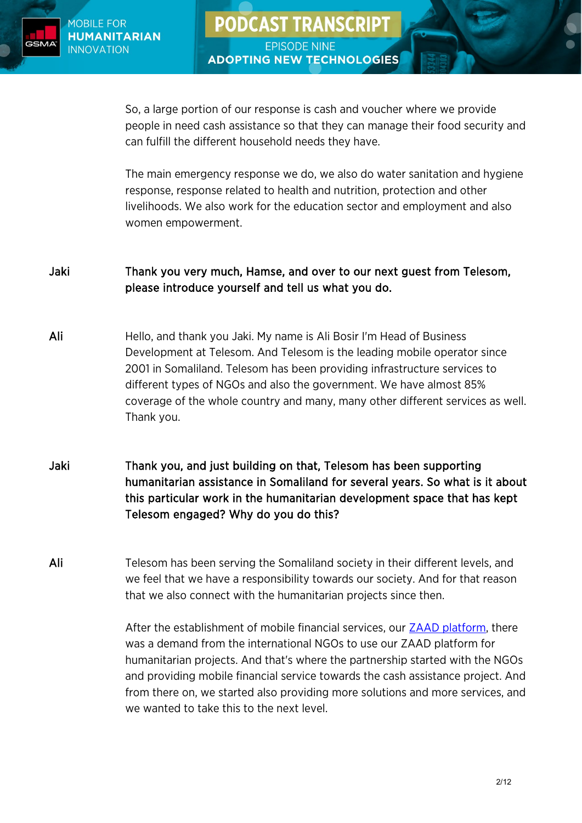

So, a large portion of our response is cash and voucher where we provide people in need cash assistance so that they can manage their food security and can fulfill the different household needs they have.

**PODCAST TRANSCRIPT** 

**EPISODE NINE** 

**ADOPTING NEW TECHNOLOGIES** 

The main emergency response we do, we also do water sanitation and hygiene response, response related to health and nutrition, protection and other livelihoods. We also work for the education sector and employment and also women empowerment.

## Jaki Thank you very much, Hamse, and over to our next guest from Telesom, please introduce yourself and tell us what you do.

- Ali Hello, and thank you Jaki. My name is Ali Bosir I'm Head of Business Development at Telesom. And Telesom is the leading mobile operator since 2001 in Somaliland. Telesom has been providing infrastructure services to different types of NGOs and also the government. We have almost 85% coverage of the whole country and many, many other different services as well. Thank you.
- Jaki Thank you, and just building on that, Telesom has been supporting humanitarian assistance in Somaliland for several years. So what is it about this particular work in the humanitarian development space that has kept Telesom engaged? Why do you do this?

Ali Telesom has been serving the Somaliland society in their different levels, and we feel that we have a responsibility towards our society. And for that reason that we also connect with the humanitarian projects since then.

> After the establishment of mobile financial services, our [ZAAD platform,](https://www.gsma.com/mobilefordevelopment/resources/telesom-zaad-pushing-the-mobile-money-cva-frontier/) there was a demand from the international NGOs to use our ZAAD platform for humanitarian projects. And that's where the partnership started with the NGOs and providing mobile financial service towards the cash assistance project. And from there on, we started also providing more solutions and more services, and we wanted to take this to the next level.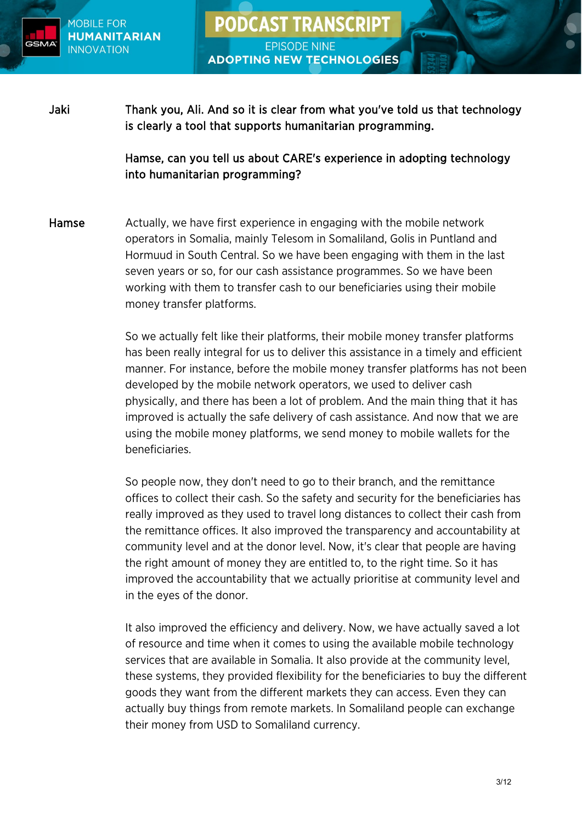

Jaki Thank you, Ali. And so it is clear from what you've told us that technology is clearly a tool that supports humanitarian programming.

**PODCAST TRANSCRIPT** 

**EPISODE NINE** 

**ADOPTING NEW TECHNOLOGIES** 

Hamse, can you tell us about CARE's experience in adopting technology into humanitarian programming?

Hamse Actually, we have first experience in engaging with the mobile network operators in Somalia, mainly Telesom in Somaliland, Golis in Puntland and Hormuud in South Central. So we have been engaging with them in the last seven years or so, for our cash assistance programmes. So we have been working with them to transfer cash to our beneficiaries using their mobile money transfer platforms.

> So we actually felt like their platforms, their mobile money transfer platforms has been really integral for us to deliver this assistance in a timely and efficient manner. For instance, before the mobile money transfer platforms has not been developed by the mobile network operators, we used to deliver cash physically, and there has been a lot of problem. And the main thing that it has improved is actually the safe delivery of cash assistance. And now that we are using the mobile money platforms, we send money to mobile wallets for the beneficiaries.

So people now, they don't need to go to their branch, and the remittance offices to collect their cash. So the safety and security for the beneficiaries has really improved as they used to travel long distances to collect their cash from the remittance offices. It also improved the transparency and accountability at community level and at the donor level. Now, it's clear that people are having the right amount of money they are entitled to, to the right time. So it has improved the accountability that we actually prioritise at community level and in the eyes of the donor.

It also improved the efficiency and delivery. Now, we have actually saved a lot of resource and time when it comes to using the available mobile technology services that are available in Somalia. It also provide at the community level, these systems, they provided flexibility for the beneficiaries to buy the different goods they want from the different markets they can access. Even they can actually buy things from remote markets. In Somaliland people can exchange their money from USD to Somaliland currency.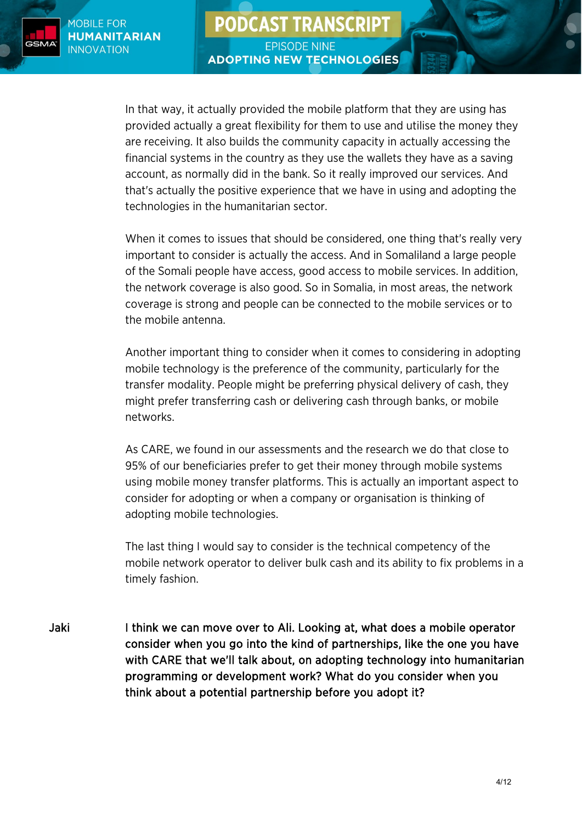**PODCAST TRANSCRIPT EPISODE NINE** 

**ADOPTING NEW TECHNOLOGIES** 



In that way, it actually provided the mobile platform that they are using has provided actually a great flexibility for them to use and utilise the money they are receiving. It also builds the community capacity in actually accessing the financial systems in the country as they use the wallets they have as a saving account, as normally did in the bank. So it really improved our services. And that's actually the positive experience that we have in using and adopting the technologies in the humanitarian sector.

When it comes to issues that should be considered, one thing that's really very important to consider is actually the access. And in Somaliland a large people of the Somali people have access, good access to mobile services. In addition, the network coverage is also good. So in Somalia, in most areas, the network coverage is strong and people can be connected to the mobile services or to the mobile antenna.

Another important thing to consider when it comes to considering in adopting mobile technology is the preference of the community, particularly for the transfer modality. People might be preferring physical delivery of cash, they might prefer transferring cash or delivering cash through banks, or mobile networks.

As CARE, we found in our assessments and the research we do that close to 95% of our beneficiaries prefer to get their money through mobile systems using mobile money transfer platforms. This is actually an important aspect to consider for adopting or when a company or organisation is thinking of adopting mobile technologies.

The last thing I would say to consider is the technical competency of the mobile network operator to deliver bulk cash and its ability to fix problems in a timely fashion.

Jaki I think we can move over to Ali. Looking at, what does a mobile operator consider when you go into the kind of partnerships, like the one you have with CARE that we'll talk about, on adopting technology into humanitarian programming or development work? What do you consider when you think about a potential partnership before you adopt it?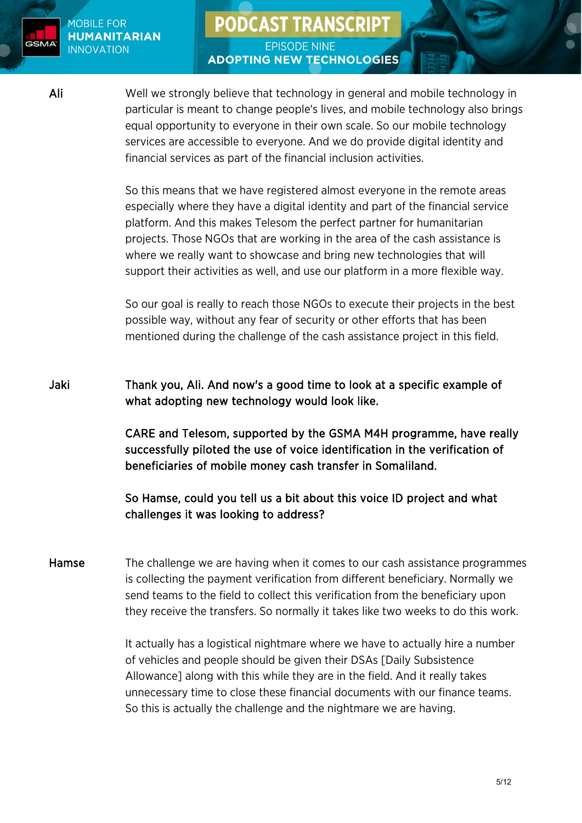

# **PODCAST TRANSCRIPT**

**EPISODE NINE ADOPTING NEW TECHNOLOGIES** 

Ali Well we strongly believe that technology in general and mobile technology in particular is meant to change people's lives, and mobile technology also brings equal opportunity to everyone in their own scale. So our mobile technology services are accessible to everyone. And we do provide digital identity and financial services as part of the financial inclusion activities.

> So this means that we have registered almost everyone in the remote areas especially where they have a digital identity and part of the financial service platform. And this makes Telesom the perfect partner for humanitarian projects. Those NGOs that are working in the area of the cash assistance is where we really want to showcase and bring new technologies that will support their activities as well, and use our platform in a more flexible way.

So our goal is really to reach those NGOs to execute their projects in the best possible way, without any fear of security or other efforts that has been mentioned during the challenge of the cash assistance project in this field.

Jaki Thank you, Ali. And now's a good time to look at a specific example of what adopting new technology would look like.

> CARE and Telesom, supported by the GSMA M4H programme, have really successfully piloted the use of voice identification in the verification of beneficiaries of mobile money cash transfer in Somaliland.

So Hamse, could you tell us a bit about this voice ID project and what challenges it was looking to address?

Hamse The challenge we are having when it comes to our cash assistance programmes is collecting the payment verification from different beneficiary. Normally we send teams to the field to collect this verification from the beneficiary upon they receive the transfers. So normally it takes like two weeks to do this work.

> It actually has a logistical nightmare where we have to actually hire a number of vehicles and people should be given their DSAs [Daily Subsistence Allowance] along with this while they are in the field. And it really takes unnecessary time to close these financial documents with our finance teams. So this is actually the challenge and the nightmare we are having.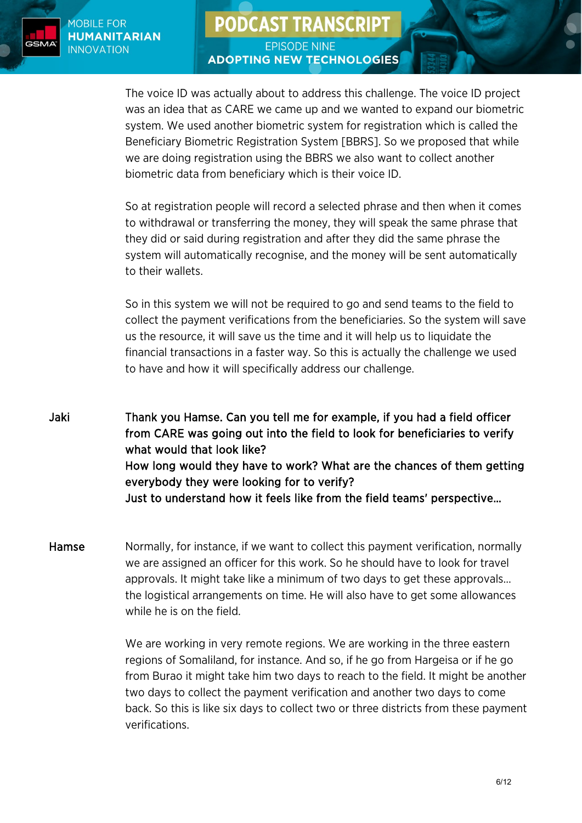**PODCAST TRANSCRIPT** 



**EPISODE NINE ADOPTING NEW TECHNOLOGIES** 

The voice ID was actually about to address this challenge. The voice ID project was an idea that as CARE we came up and we wanted to expand our biometric system. We used another biometric system for registration which is called the Beneficiary Biometric Registration System [BBRS]. So we proposed that while we are doing registration using the BBRS we also want to collect another biometric data from beneficiary which is their voice ID.

So at registration people will record a selected phrase and then when it comes to withdrawal or transferring the money, they will speak the same phrase that they did or said during registration and after they did the same phrase the system will automatically recognise, and the money will be sent automatically to their wallets.

So in this system we will not be required to go and send teams to the field to collect the payment verifications from the beneficiaries. So the system will save us the resource, it will save us the time and it will help us to liquidate the financial transactions in a faster way. So this is actually the challenge we used to have and how it will specifically address our challenge.

Jaki Thank you Hamse. Can you tell me for example, if you had a field officer from CARE was going out into the field to look for beneficiaries to verify what would that look like? How long would they have to work? What are the chances of them getting everybody they were looking for to verify? Just to understand how it feels like from the field teams' perspective…

Hamse Mormally, for instance, if we want to collect this payment verification, normally we are assigned an officer for this work. So he should have to look for travel approvals. It might take like a minimum of two days to get these approvals… the logistical arrangements on time. He will also have to get some allowances while he is on the field.

> We are working in very remote regions. We are working in the three eastern regions of Somaliland, for instance. And so, if he go from Hargeisa or if he go from Burao it might take him two days to reach to the field. It might be another two days to collect the payment verification and another two days to come back. So this is like six days to collect two or three districts from these payment verifications.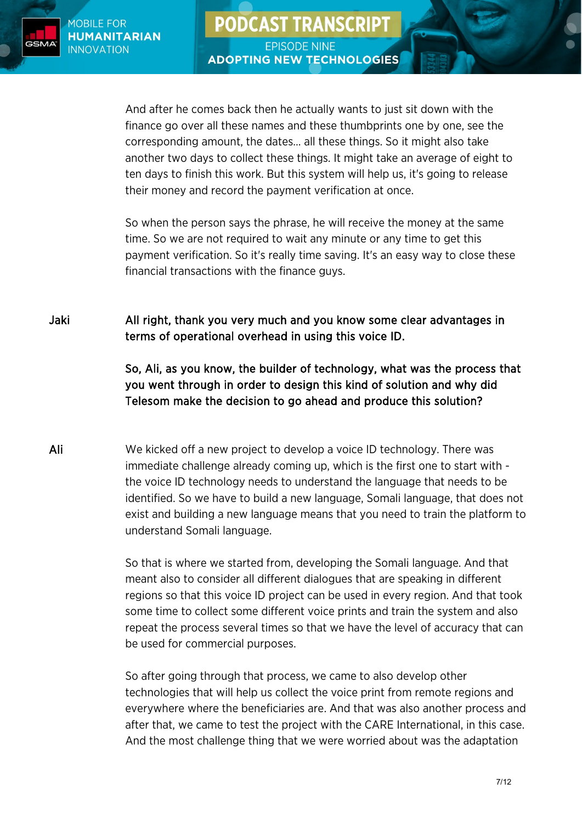And after he comes back then he actually wants to just sit down with the finance go over all these names and these thumbprints one by one, see the corresponding amount, the dates… all these things. So it might also take another two days to collect these things. It might take an average of eight to ten days to finish this work. But this system will help us, it's going to release their money and record the payment verification at once.

**PODCAST TRANSCRIPT** 

**EPISODE NINE** 

**ADOPTING NEW TECHNOLOGIES** 

So when the person says the phrase, he will receive the money at the same time. So we are not required to wait any minute or any time to get this payment verification. So it's really time saving. It's an easy way to close these financial transactions with the finance guys.

Jaki All right, thank you very much and you know some clear advantages in terms of operational overhead in using this voice ID.

> So, Ali, as you know, the builder of technology, what was the process that you went through in order to design this kind of solution and why did Telesom make the decision to go ahead and produce this solution?

Ali We kicked off a new project to develop a voice ID technology. There was immediate challenge already coming up, which is the first one to start with the voice ID technology needs to understand the language that needs to be identified. So we have to build a new language, Somali language, that does not exist and building a new language means that you need to train the platform to understand Somali language.

> So that is where we started from, developing the Somali language. And that meant also to consider all different dialogues that are speaking in different regions so that this voice ID project can be used in every region. And that took some time to collect some different voice prints and train the system and also repeat the process several times so that we have the level of accuracy that can be used for commercial purposes.

> So after going through that process, we came to also develop other technologies that will help us collect the voice print from remote regions and everywhere where the beneficiaries are. And that was also another process and after that, we came to test the project with the CARE International, in this case. And the most challenge thing that we were worried about was the adaptation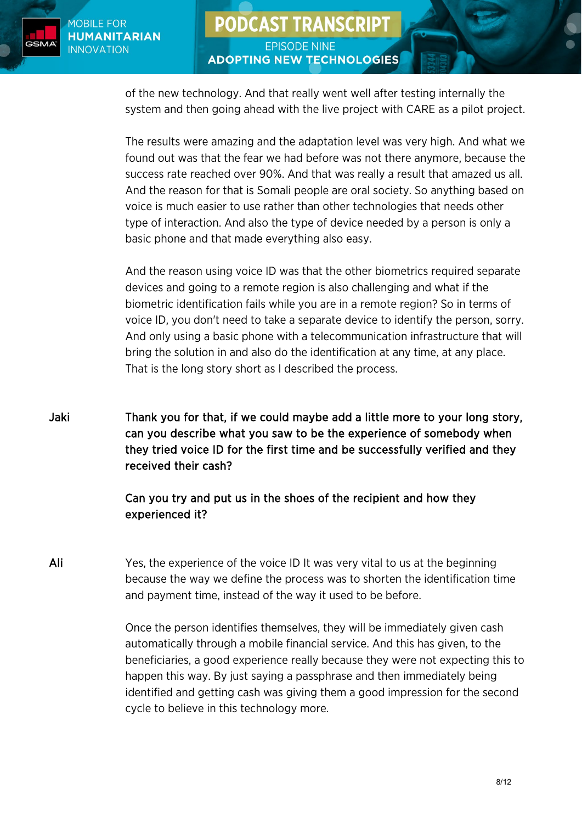

**EPISODE NINE ADOPTING NEW TECHNOLOGIES** 

**PODCAST TRANSCRIPT** 

of the new technology. And that really went well after testing internally the system and then going ahead with the live project with CARE as a pilot project.

The results were amazing and the adaptation level was very high. And what we found out was that the fear we had before was not there anymore, because the success rate reached over 90%. And that was really a result that amazed us all. And the reason for that is Somali people are oral society. So anything based on voice is much easier to use rather than other technologies that needs other type of interaction. And also the type of device needed by a person is only a basic phone and that made everything also easy.

And the reason using voice ID was that the other biometrics required separate devices and going to a remote region is also challenging and what if the biometric identification fails while you are in a remote region? So in terms of voice ID, you don't need to take a separate device to identify the person, sorry. And only using a basic phone with a telecommunication infrastructure that will bring the solution in and also do the identification at any time, at any place. That is the long story short as I described the process.

Jaki Thank you for that, if we could maybe add a little more to your long story, can you describe what you saw to be the experience of somebody when they tried voice ID for the first time and be successfully verified and they received their cash?

# Can you try and put us in the shoes of the recipient and how they experienced it?

Ali Yes, the experience of the voice ID It was very vital to us at the beginning because the way we define the process was to shorten the identification time and payment time, instead of the way it used to be before.

> Once the person identifies themselves, they will be immediately given cash automatically through a mobile financial service. And this has given, to the beneficiaries, a good experience really because they were not expecting this to happen this way. By just saying a passphrase and then immediately being identified and getting cash was giving them a good impression for the second cycle to believe in this technology more.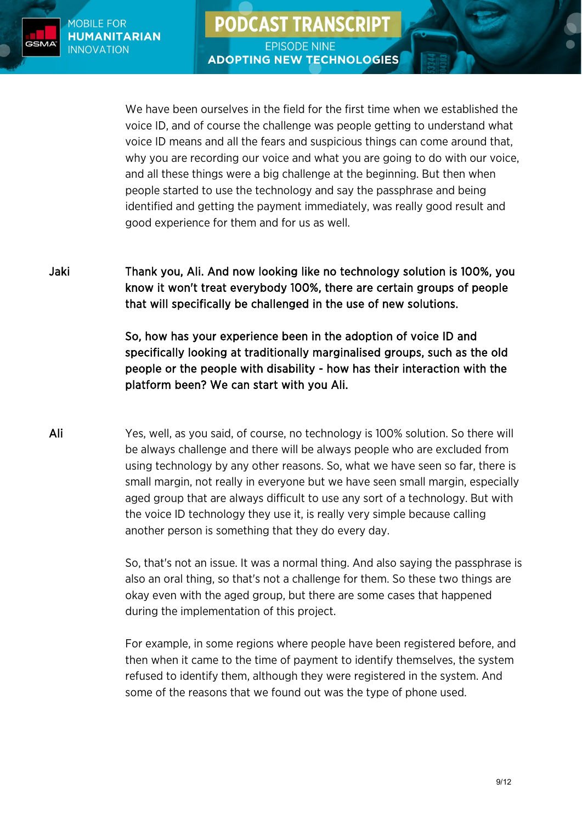**PODCAST TRANSCRIPT HUMANITARIAN** 



MOBILE FOR

**INNOVATION** 

**EPISODE NINE ADOPTING NEW TECHNOLOGIES** 

We have been ourselves in the field for the first time when we established the voice ID, and of course the challenge was people getting to understand what voice ID means and all the fears and suspicious things can come around that, why you are recording our voice and what you are going to do with our voice, and all these things were a big challenge at the beginning. But then when people started to use the technology and say the passphrase and being identified and getting the payment immediately, was really good result and good experience for them and for us as well.

Jaki Thank you, Ali. And now looking like no technology solution is 100%, you know it won't treat everybody 100%, there are certain groups of people that will specifically be challenged in the use of new solutions.

> So, how has your experience been in the adoption of voice ID and specifically looking at traditionally marginalised groups, such as the old people or the people with disability - how has their interaction with the platform been? We can start with you Ali.

Ali Yes, well, as you said, of course, no technology is 100% solution. So there will be always challenge and there will be always people who are excluded from using technology by any other reasons. So, what we have seen so far, there is small margin, not really in everyone but we have seen small margin, especially aged group that are always difficult to use any sort of a technology. But with the voice ID technology they use it, is really very simple because calling another person is something that they do every day.

> So, that's not an issue. It was a normal thing. And also saying the passphrase is also an oral thing, so that's not a challenge for them. So these two things are okay even with the aged group, but there are some cases that happened during the implementation of this project.

For example, in some regions where people have been registered before, and then when it came to the time of payment to identify themselves, the system refused to identify them, although they were registered in the system. And some of the reasons that we found out was the type of phone used.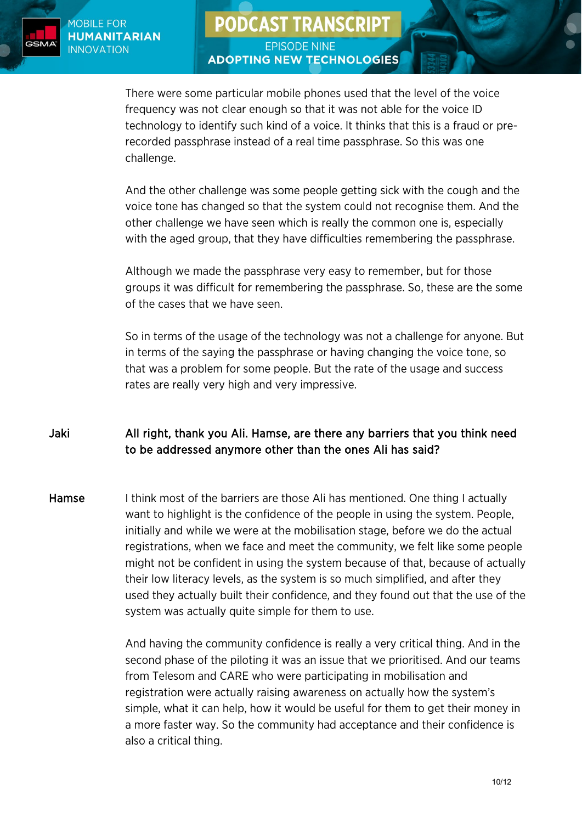

**EPISODE NINE ADOPTING NEW TECHNOLOGIES** 

**PODCAST TRANSCRIPT** 

There were some particular mobile phones used that the level of the voice frequency was not clear enough so that it was not able for the voice ID technology to identify such kind of a voice. It thinks that this is a fraud or prerecorded passphrase instead of a real time passphrase. So this was one challenge.

And the other challenge was some people getting sick with the cough and the voice tone has changed so that the system could not recognise them. And the other challenge we have seen which is really the common one is, especially with the aged group, that they have difficulties remembering the passphrase.

Although we made the passphrase very easy to remember, but for those groups it was difficult for remembering the passphrase. So, these are the some of the cases that we have seen.

So in terms of the usage of the technology was not a challenge for anyone. But in terms of the saying the passphrase or having changing the voice tone, so that was a problem for some people. But the rate of the usage and success rates are really very high and very impressive.

# Jaki All right, thank you Ali. Hamse, are there any barriers that you think need to be addressed anymore other than the ones Ali has said?

Hamse I think most of the barriers are those Ali has mentioned. One thing I actually want to highlight is the confidence of the people in using the system. People, initially and while we were at the mobilisation stage, before we do the actual registrations, when we face and meet the community, we felt like some people might not be confident in using the system because of that, because of actually their low literacy levels, as the system is so much simplified, and after they used they actually built their confidence, and they found out that the use of the system was actually quite simple for them to use.

> And having the community confidence is really a very critical thing. And in the second phase of the piloting it was an issue that we prioritised. And our teams from Telesom and CARE who were participating in mobilisation and registration were actually raising awareness on actually how the system's simple, what it can help, how it would be useful for them to get their money in a more faster way. So the community had acceptance and their confidence is also a critical thing.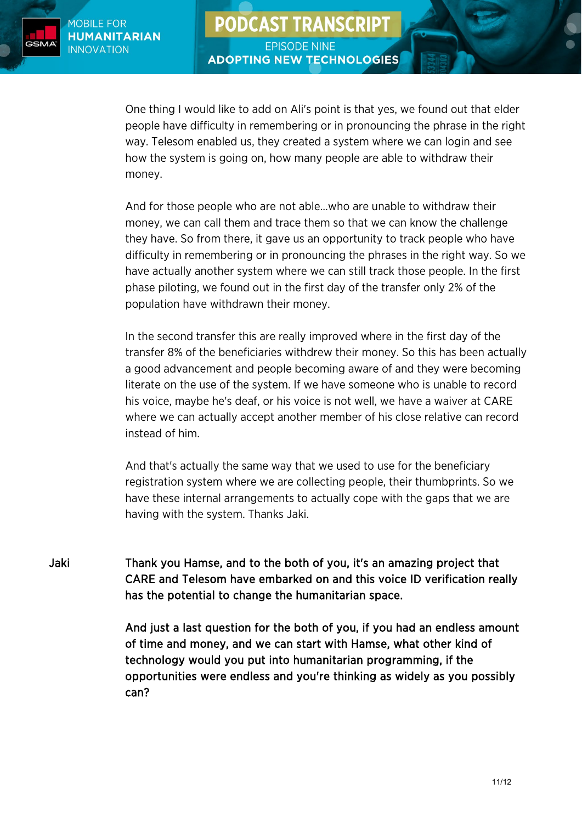

One thing I would like to add on Ali's point is that yes, we found out that elder people have difficulty in remembering or in pronouncing the phrase in the right way. Telesom enabled us, they created a system where we can login and see how the system is going on, how many people are able to withdraw their money.

**PODCAST TRANSCRIPT** 

**EPISODE NINE** 

**ADOPTING NEW TECHNOLOGIES** 

And for those people who are not able…who are unable to withdraw their money, we can call them and trace them so that we can know the challenge they have. So from there, it gave us an opportunity to track people who have difficulty in remembering or in pronouncing the phrases in the right way. So we have actually another system where we can still track those people. In the first phase piloting, we found out in the first day of the transfer only 2% of the population have withdrawn their money.

In the second transfer this are really improved where in the first day of the transfer 8% of the beneficiaries withdrew their money. So this has been actually a good advancement and people becoming aware of and they were becoming literate on the use of the system. If we have someone who is unable to record his voice, maybe he's deaf, or his voice is not well, we have a waiver at CARE where we can actually accept another member of his close relative can record instead of him.

And that's actually the same way that we used to use for the beneficiary registration system where we are collecting people, their thumbprints. So we have these internal arrangements to actually cope with the gaps that we are having with the system. Thanks Jaki.

Jaki Thank you Hamse, and to the both of you, it's an amazing project that CARE and Telesom have embarked on and this voice ID verification really has the potential to change the humanitarian space.

> And just a last question for the both of you, if you had an endless amount of time and money, and we can start with Hamse, what other kind of technology would you put into humanitarian programming, if the opportunities were endless and you're thinking as widely as you possibly can?